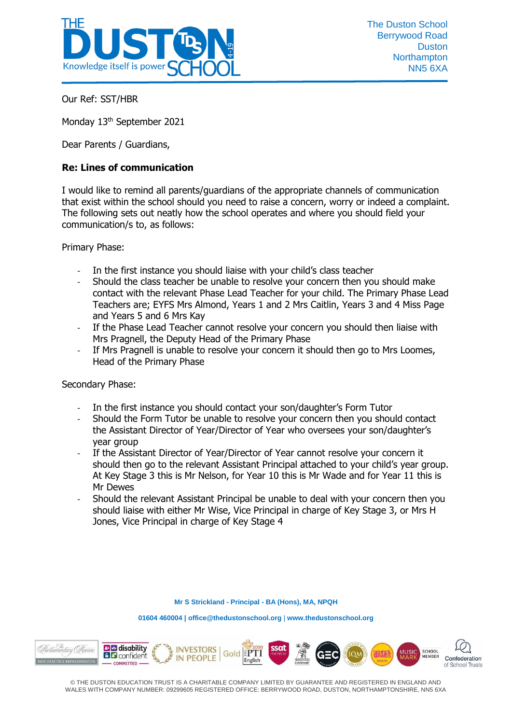

Our Ref: SST/HBR

Monday 13<sup>th</sup> September 2021

Dear Parents / Guardians,

## **Re: Lines of communication**

I would like to remind all parents/guardians of the appropriate channels of communication that exist within the school should you need to raise a concern, worry or indeed a complaint. The following sets out neatly how the school operates and where you should field your communication/s to, as follows:

Primary Phase:

- In the first instance you should liaise with your child's class teacher
- Should the class teacher be unable to resolve your concern then you should make contact with the relevant Phase Lead Teacher for your child. The Primary Phase Lead Teachers are; EYFS Mrs Almond, Years 1 and 2 Mrs Caitlin, Years 3 and 4 Miss Page and Years 5 and 6 Mrs Kay
- If the Phase Lead Teacher cannot resolve your concern you should then liaise with Mrs Pragnell, the Deputy Head of the Primary Phase
- If Mrs Pragnell is unable to resolve your concern it should then go to Mrs Loomes, Head of the Primary Phase

Secondary Phase:

- In the first instance you should contact your son/daughter's Form Tutor
- Should the Form Tutor be unable to resolve your concern then you should contact the Assistant Director of Year/Director of Year who oversees your son/daughter's year group
- If the Assistant Director of Year/Director of Year cannot resolve your concern it should then go to the relevant Assistant Principal attached to your child's year group. At Key Stage 3 this is Mr Nelson, for Year 10 this is Mr Wade and for Year 11 this is Mr Dewes
- Should the relevant Assistant Principal be unable to deal with your concern then you should liaise with either Mr Wise, Vice Principal in charge of Key Stage 3, or Mrs H Jones, Vice Principal in charge of Key Stage 4

**Mr S Strickland - Principal - BA (Hons), MA, NPQH**

**01604 460004 [| office@thedustonschool.org](mailto:office@thedustonschool.org)** | **[www.thedustonschool.org](http://www.thedustonschool.org/)**



© THE DUSTON EDUCATION TRUST IS A CHARITABLE COMPANY LIMITED BY GUARANTEE AND REGISTERED IN ENGLAND AND WALES WITH COMPANY NUMBER: 09299605 REGISTERED OFFICE: BERRYWOOD ROAD, DUSTON, NORTHAMPTONSHIRE, NN5 6XA